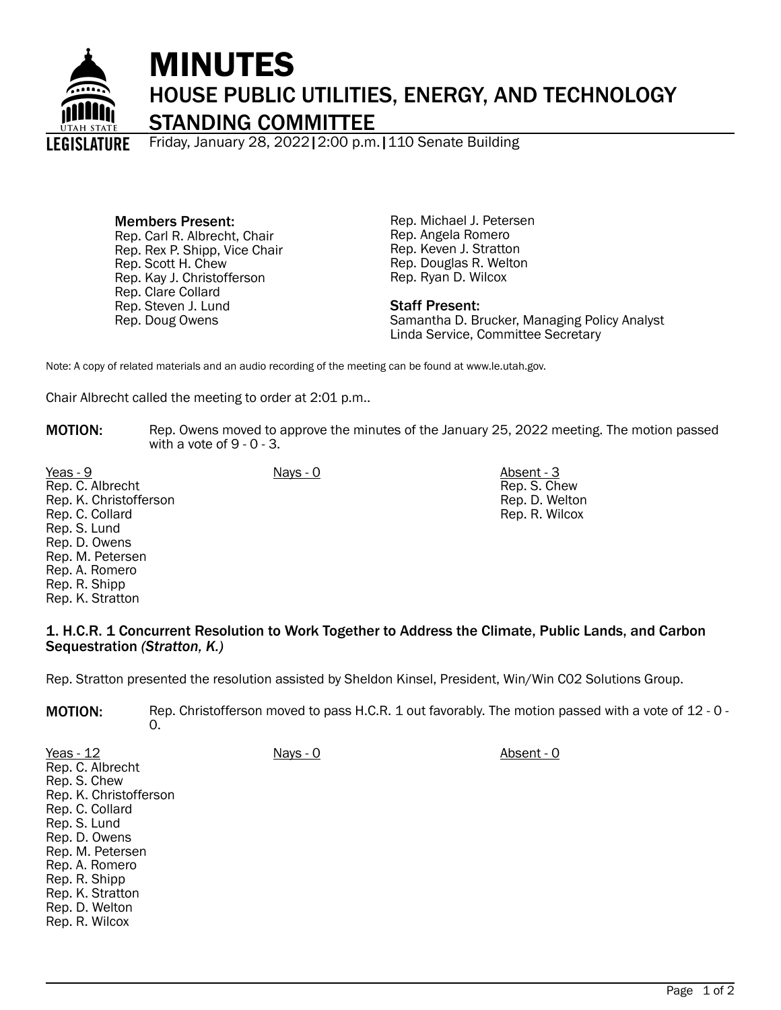

## MINUTES HOUSE PUBLIC UTILITIES, ENERGY, AND TECHNOLOGY STANDING COMMITTEE

Friday, January 28, 2022|2:00 p.m.|110 Senate Building

Members Present: Rep. Carl R. Albrecht, Chair Rep. Rex P. Shipp, Vice Chair Rep. Scott H. Chew Rep. Kay J. Christofferson Rep. Clare Collard Rep. Steven J. Lund Rep. Doug Owens

Rep. Michael J. Petersen Rep. Angela Romero Rep. Keven J. Stratton Rep. Douglas R. Welton Rep. Ryan D. Wilcox

## Staff Present:

Samantha D. Brucker, Managing Policy Analyst Linda Service, Committee Secretary

Note: A copy of related materials and an audio recording of the meeting can be found at www.le.utah.gov.

Chair Albrecht called the meeting to order at 2:01 p.m..

MOTION: Rep. Owens moved to approve the minutes of the January 25, 2022 meeting. The motion passed with a vote of 9 - 0 - 3.

Yeas - 9 Nays - 0 Absent - 3 Rep. C. Albrecht Rep. K. Christofferson Rep. C. Collard Rep. S. Lund Rep. D. Owens Rep. M. Petersen Rep. A. Romero Rep. R. Shipp Rep. K. Stratton

Rep. S. Chew Rep. D. Welton Rep. R. Wilcox

## 1. H.C.R. 1 Concurrent Resolution to Work Together to Address the Climate, Public Lands, and Carbon Sequestration *(Stratton, K.)*

Rep. Stratton presented the resolution assisted by Sheldon Kinsel, President, Win/Win C02 Solutions Group.

MOTION: Rep. Christofferson moved to pass H.C.R. 1 out favorably. The motion passed with a vote of 12 - 0 - $\Omega$ .

| Yeas - $12$            | Nays - 0 | Absent - 0 |
|------------------------|----------|------------|
| Rep. C. Albrecht       |          |            |
| Rep. S. Chew           |          |            |
| Rep. K. Christofferson |          |            |
| Rep. C. Collard        |          |            |
| Rep. S. Lund           |          |            |
| Rep. D. Owens          |          |            |
| Rep. M. Petersen       |          |            |
| Rep. A. Romero         |          |            |
| Rep. R. Shipp          |          |            |
| Rep. K. Stratton       |          |            |
| Rep. D. Welton         |          |            |
| Rep. R. Wilcox         |          |            |